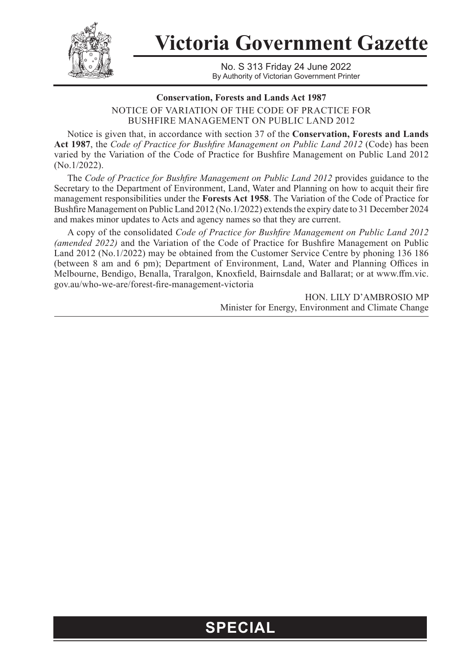

**Victoria Government Gazette**

No. S 313 Friday 24 June 2022 By Authority of Victorian Government Printer

## **Conservation, Forests and Lands Act 1987**

NOTICE OF VARIATION OF THE CODE OF PRACTICE FOR BUSHFIRE MANAGEMENT ON PUBLIC LAND 2012

Notice is given that, in accordance with section 37 of the **Conservation, Forests and Lands Act 1987**, the *Code of Practice for Bushfire Management on Public Land 2012* (Code) has been varied by the Variation of the Code of Practice for Bushfire Management on Public Land 2012 (No.1/2022).

The *Code of Practice for Bushfire Management on Public Land 2012* provides guidance to the Secretary to the Department of Environment, Land, Water and Planning on how to acquit their fire management responsibilities under the **Forests Act 1958**. The Variation of the Code of Practice for Bushfire Management on Public Land 2012 (No.1/2022) extends the expiry date to 31 December 2024 and makes minor updates to Acts and agency names so that they are current.

A copy of the consolidated *Code of Practice for Bushfire Management on Public Land 2012 (amended 2022)* and the Variation of the Code of Practice for Bushfire Management on Public Land 2012 (No.1/2022) may be obtained from the Customer Service Centre by phoning 136 186 (between 8 am and 6 pm); Department of Environment, Land, Water and Planning Offices in Melbourne, Bendigo, Benalla, Traralgon, Knoxfield, Bairnsdale and Ballarat; or at www.ffm.vic. gov.au/who-we-are/forest-fire-management-victoria

> HON. LILY D'AMBROSIO MP Minister for Energy, Environment and Climate Change

## **SPECIAL**